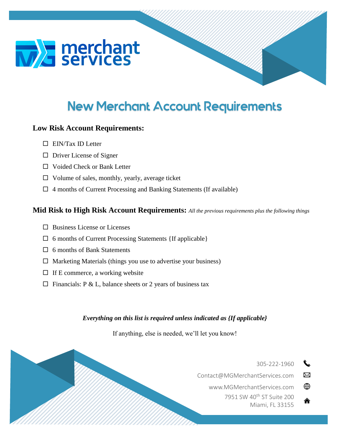



# **Low Risk Account Requirements:**

- $\Box$  EIN/Tax ID Letter
- $\Box$  Driver License of Signer
- □ Voided Check or Bank Letter
- $\Box$  Volume of sales, monthly, yearly, average ticket
- $\Box$  4 months of Current Processing and Banking Statements (If available)

## **Mid Risk to High Risk Account Requirements:** *All the previous requirements plus the following things*

- $\square$  Business License or Licenses
- $\Box$  6 months of Current Processing Statements {If applicable}
- □ 6 months of Bank Statements
- $\Box$  Marketing Materials (things you use to advertise your business)
- $\Box$  If E commerce, a working website
- $\Box$  Financials: P & L, balance sheets or 2 years of business tax

### *Everything on this list is required unless indicated as {If applicable}*

If anything, else is needed, we'll let you know!